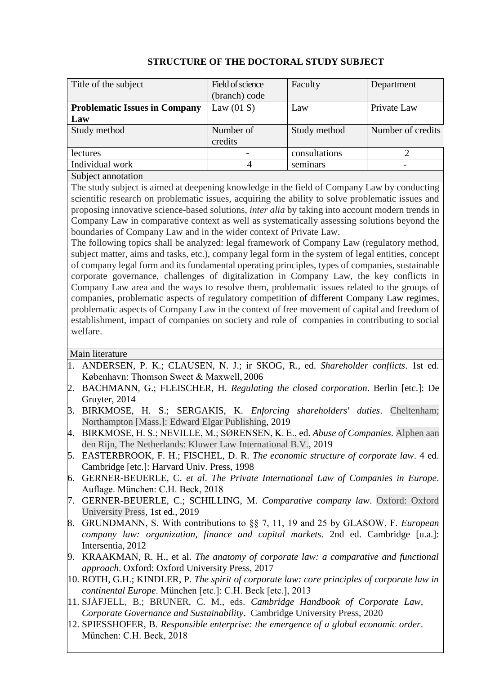| Title of the subject                 | Field of science | Faculty       | Department        |
|--------------------------------------|------------------|---------------|-------------------|
|                                      | (branch) code    |               |                   |
| <b>Problematic Issues in Company</b> | Law $(01 S)$     | Law           | Private Law       |
| Law                                  |                  |               |                   |
| Study method                         | Number of        | Study method  | Number of credits |
|                                      | credits          |               |                   |
| <i>lectures</i>                      |                  | consultations |                   |
| Individual work                      |                  | seminars      |                   |
| Subject annotation                   |                  |               |                   |

## **STRUCTURE OF THE DOCTORAL STUDY SUBJECT**

Subject annotation

The study subject is aimed at deepening knowledge in the field of Company Law by conducting scientific research on problematic issues, acquiring the ability to solve problematic issues and proposing innovative science-based solutions, *inter alia* by taking into account modern trends in Company Law in comparative context as well as systematically assessing solutions beyond the boundaries of Company Law and in the wider context of Private Law.

The following topics shall be analyzed: legal framework of Company Law (regulatory method, subject matter, aims and tasks, etc.), company legal form in the system of legal entities, concept of company legal form and its fundamental operating principles, types of companies, sustainable corporate governance, challenges of digitalization in Company Law, the key conflicts in Company Law area and the ways to resolve them, problematic issues related to the groups of companies, problematic aspects of regulatory competition of different Company Law regimes, problematic aspects of Company Law in the context of free movement of capital and freedom of establishment, impact of companies on society and role of companies in contributing to social welfare.

## Main literature

- 1. ANDERSEN, P. K.; CLAUSEN, N. J.; ir SKOG, R., ed. *Shareholder conflicts*. 1st ed. København: Thomson Sweet & Maxwell, 2006
- 2. BACHMANN, G.; FLEISCHER, H. *Regulating the closed corporation*. Berlin [etc.]: De Gruyter, 2014
- 3. BIRKMOSE, H. S.; SERGAKIS, K. *Enforcing shareholders' duties*. Cheltenham; Northampton [Mass.]: Edward Elgar Publishing, 2019
- 4. BIRKMOSE, H. S.; NEVILLE, M.; SØRENSEN, K. E., ed. *Abuse of Companies*. Alphen aan den Rijn, The Netherlands: Kluwer Law International B.V., 2019
- 5. EASTERBROOK, F. H.; FISCHEL, D. R. *The economic structure of corporate law*. 4 ed. Cambridge [etc.]: Harvard Univ. Press, 1998
- 6. GERNER-BEUERLE, C. *et al*. *The Private International Law of Companies in Europe*. Auflage. München: C.H. Beck, 2018
- 7. GERNER-BEUERLE, C.; SCHILLING, M. *Comparative company law*. Oxford: Oxford University Press, 1st ed., 2019
- 8. GRUNDMANN, S. With contributions to §§ 7, 11, 19 and 25 by GLASOW, F. *European company law: organization, finance and capital markets*. 2nd ed. Cambridge [u.a.]: Intersentia, 2012
- 9. KRAAKMAN, R. H., et al. *The anatomy of corporate law: a comparative and functional approach*. Oxford: Oxford University Press, 2017
- 10. ROTH, G.H.; KINDLER, P. *The spirit of corporate law: core principles of corporate law in continental Europe*. München [etc.]: C.H. Beck [etc.], 2013
- 11. SJÅFJELL, B.; BRUNER, C. M., eds. *[Cambridge Handbook of Corporate Law,](https://www.jus.uio.no/english/research/areas/companies/publications/books-and-selected-publications/sjafjell-bruner-2019..html)  [Corporate Governance and Sustainability](https://www.jus.uio.no/english/research/areas/companies/publications/books-and-selected-publications/sjafjell-bruner-2019..html)*. Cambridge University Press, 2020
- 12. SPIESSHOFER, B. *Responsible enterprise: the emergence of a global economic order*. München: C.H. Beck, 2018